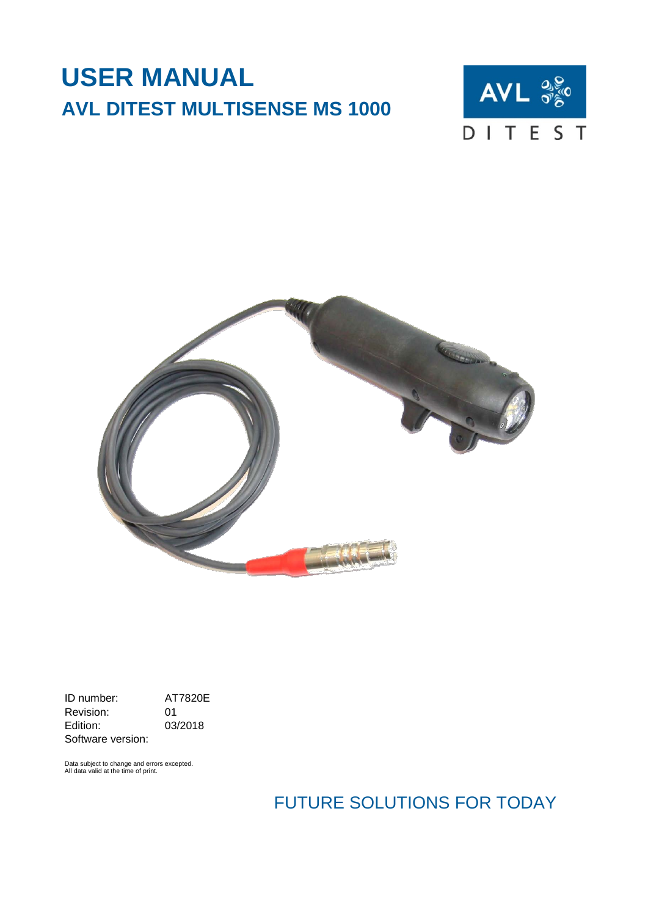# **USER MANUAL AVL DITEST MULTISENSE MS 1000**





ID number: <br>
Revision: 01 Revision:<br>Edition: 03/2018 Software version:

Data subject to change and errors excepted. All data valid at the time of print.

FUTURE SOLUTIONS FOR TODAY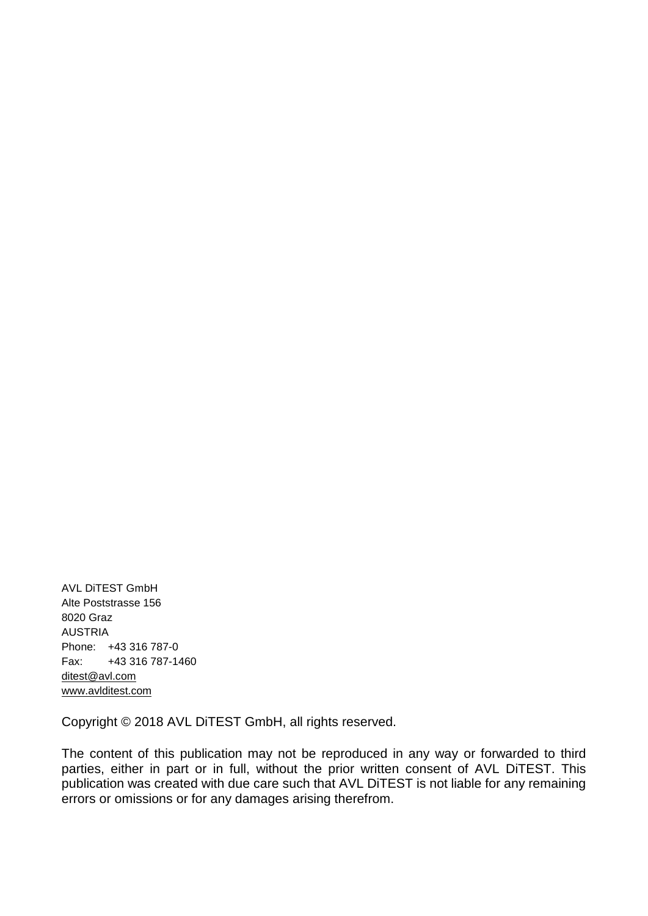AVL DiTEST GmbH Alte Poststrasse 156 8020 Graz AUSTRIA Phone: +43 316 787-0 Fax: +43 316 787-1460 [ditest@avl.com](mailto:ditest@avl.com) [www.avlditest.com](http://www.avlditest.com/)

Copyright © 2018 AVL DiTEST GmbH, all rights reserved.

The content of this publication may not be reproduced in any way or forwarded to third parties, either in part or in full, without the prior written consent of AVL DiTEST. This publication was created with due care such that AVL DiTEST is not liable for any remaining errors or omissions or for any damages arising therefrom.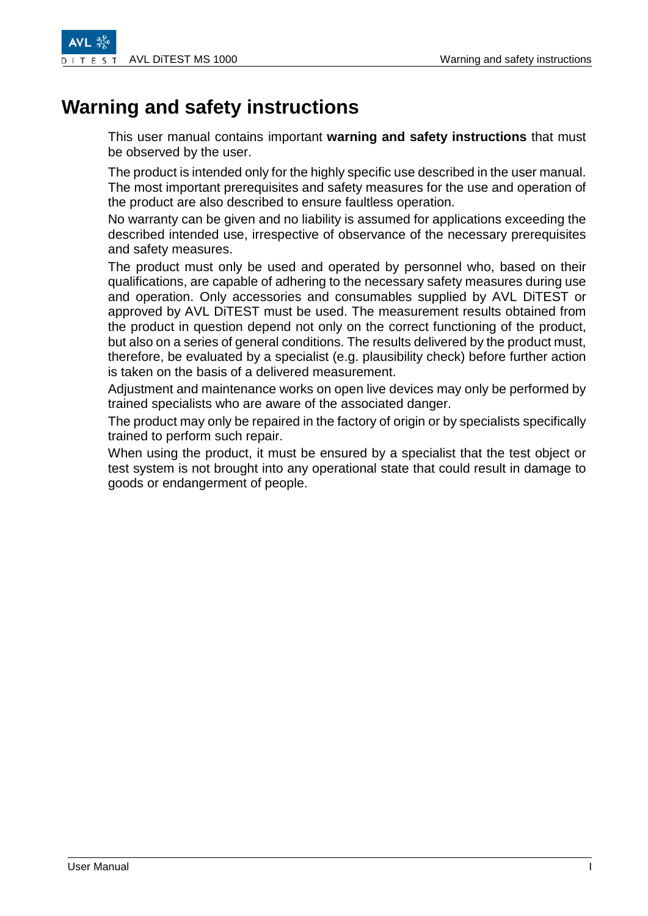# <span id="page-2-0"></span>**Warning and safety instructions**

This user manual contains important **warning and safety instructions** that must

be observed by the user. The product is intended only for the highly specific use described in the user manual. The most important prerequisites and safety measures for the use and operation of

the product are also described to ensure faultless operation. No warranty can be given and no liability is assumed for applications exceeding the

described intended use, irrespective of observance of the necessary prerequisites and safety measures.

The product must only be used and operated by personnel who, based on their qualifications, are capable of adhering to the necessary safety measures during use and operation. Only accessories and consumables supplied by AVL DiTEST or approved by AVL DiTEST must be used. The measurement results obtained from the product in question depend not only on the correct functioning of the product, but also on a series of general conditions. The results delivered by the product must, therefore, be evaluated by a specialist (e.g. plausibility check) before further action is taken on the basis of a delivered measurement.

Adjustment and maintenance works on open live devices may only be performed by trained specialists who are aware of the associated danger.

The product may only be repaired in the factory of origin or by specialists specifically trained to perform such repair.

When using the product, it must be ensured by a specialist that the test object or test system is not brought into any operational state that could result in damage to goods or endangerment of people.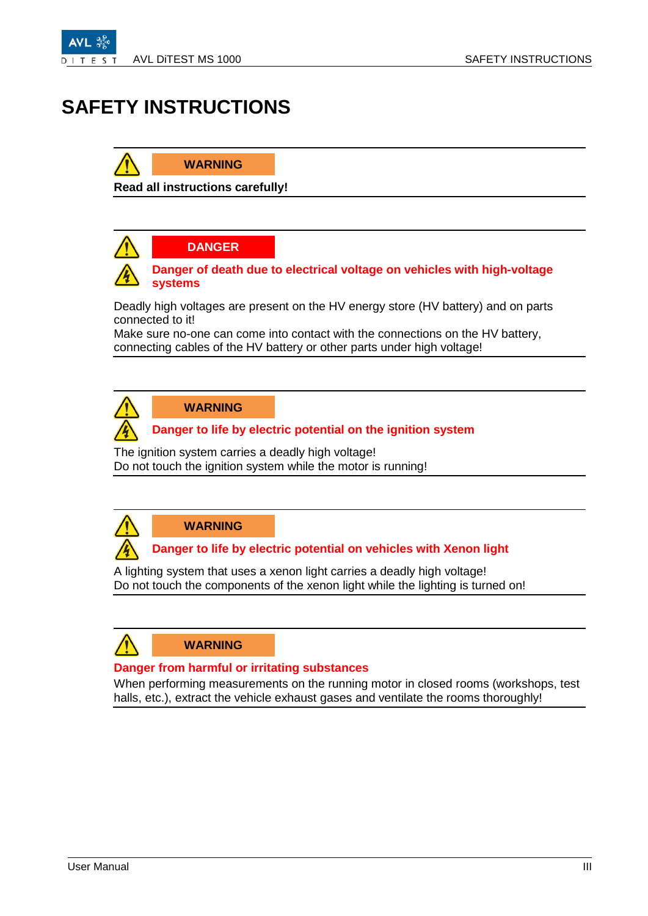

# <span id="page-4-0"></span>**SAFETY INSTRUCTIONS**

### **WARNING**

**Read all instructions carefully!**

### **DANGER**



#### **Danger of death due to electrical voltage on vehicles with high-voltage systems**

Deadly high voltages are present on the HV energy store (HV battery) and on parts connected to it!

Make sure no-one can come into contact with the connections on the HV battery, connecting cables of the HV battery or other parts under high voltage!



### **WARNING**

### **Danger to life by electric potential on the ignition system**

The ignition system carries a deadly high voltage! Do not touch the ignition system while the motor is running!



### **WARNING**

### **Danger to life by electric potential on vehicles with Xenon light**

A lighting system that uses a xenon light carries a deadly high voltage! Do not touch the components of the xenon light while the lighting is turned on!



#### **Danger from harmful or irritating substances**

When performing measurements on the running motor in closed rooms (workshops, test halls, etc.), extract the vehicle exhaust gases and ventilate the rooms thoroughly!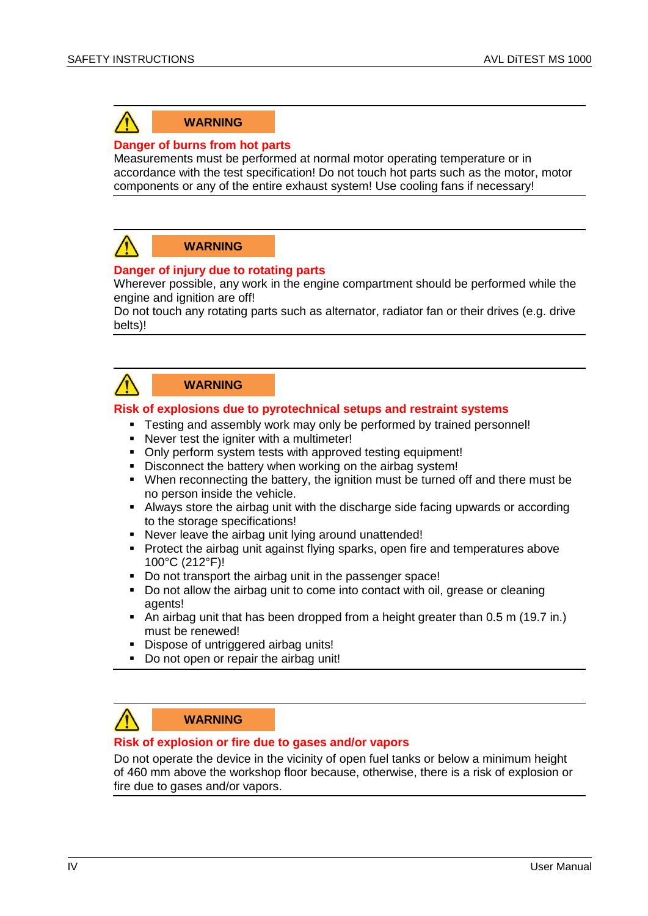

#### **WARNING**

#### **Danger of burns from hot parts**

Measurements must be performed at normal motor operating temperature or in accordance with the test specification! Do not touch hot parts such as the motor, motor components or any of the entire exhaust system! Use cooling fans if necessary!



#### **WARNING**

#### **Danger of injury due to rotating parts**

Wherever possible, any work in the engine compartment should be performed while the engine and ignition are off!

Do not touch any rotating parts such as alternator, radiator fan or their drives (e.g. drive belts)!

### **WARNING**

#### **Risk of explosions due to pyrotechnical setups and restraint systems**

- **Testing and assembly work may only be performed by trained personnel!**
- Never test the igniter with a multimeter!
- Only perform system tests with approved testing equipment!
- Disconnect the battery when working on the airbag system!
- When reconnecting the battery, the ignition must be turned off and there must be no person inside the vehicle.
- Always store the airbag unit with the discharge side facing upwards or according to the storage specifications!
- Never leave the airbag unit lying around unattended!
- Protect the airbag unit against flying sparks, open fire and temperatures above 100°C (212°F)!
- Do not transport the airbag unit in the passenger space!
- Do not allow the airbag unit to come into contact with oil, grease or cleaning agents!
- An airbag unit that has been dropped from a height greater than 0.5 m (19.7 in.) must be renewed!
- **Dispose of untriggered airbag units!**
- Do not open or repair the airbag unit!

### **WARNING**

#### **Risk of explosion or fire due to gases and/or vapors**

Do not operate the device in the vicinity of open fuel tanks or below a minimum height of 460 mm above the workshop floor because, otherwise, there is a risk of explosion or fire due to gases and/or vapors.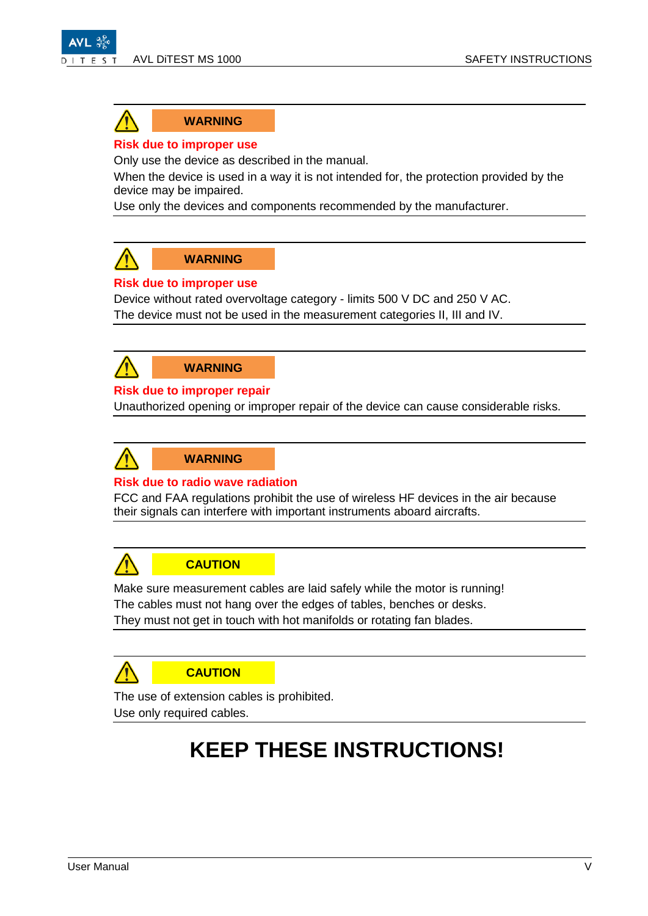



**WARNING**

#### **Risk due to improper use**

Only use the device as described in the manual.

When the device is used in a way it is not intended for, the protection provided by the device may be impaired.

Use only the devices and components recommended by the manufacturer.



**WARNING**

### **Risk due to improper use**

Device without rated overvoltage category - limits 500 V DC and 250 V AC. The device must not be used in the measurement categories II, III and IV.



**WARNING**

#### **Risk due to improper repair**

Unauthorized opening or improper repair of the device can cause considerable risks.



#### **Risk due to radio wave radiation**

FCC and FAA regulations prohibit the use of wireless HF devices in the air because their signals can interfere with important instruments aboard aircrafts.



### **CAUTION**

Make sure measurement cables are laid safely while the motor is running! The cables must not hang over the edges of tables, benches or desks. They must not get in touch with hot manifolds or rotating fan blades.



The use of extension cables is prohibited. Use only required cables.

# **KEEP THESE INSTRUCTIONS!**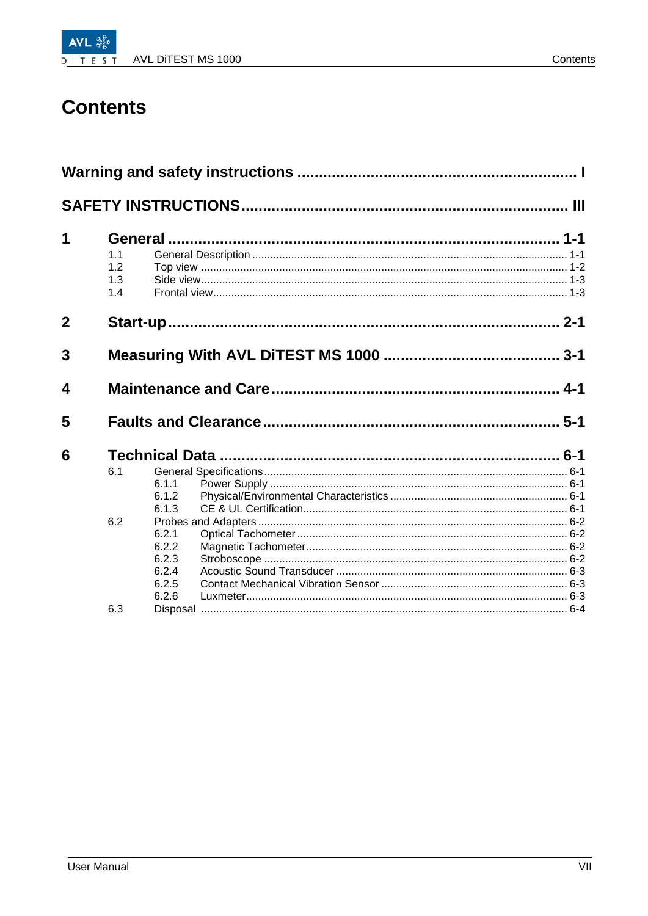# **Contents**

| 1              | 1.1<br>1.2<br>1.3<br>1.4 |                                                    |  |
|----------------|--------------------------|----------------------------------------------------|--|
| $\overline{2}$ |                          |                                                    |  |
| 3              |                          |                                                    |  |
| 4              |                          |                                                    |  |
| 5              |                          |                                                    |  |
| 6              | 6.1                      | 6.1.1<br>6.1.2<br>6.1.3                            |  |
|                | 6.2                      | 6.2.1<br>6.2.2<br>6.2.3<br>6.2.4<br>6.2.5<br>6.2.6 |  |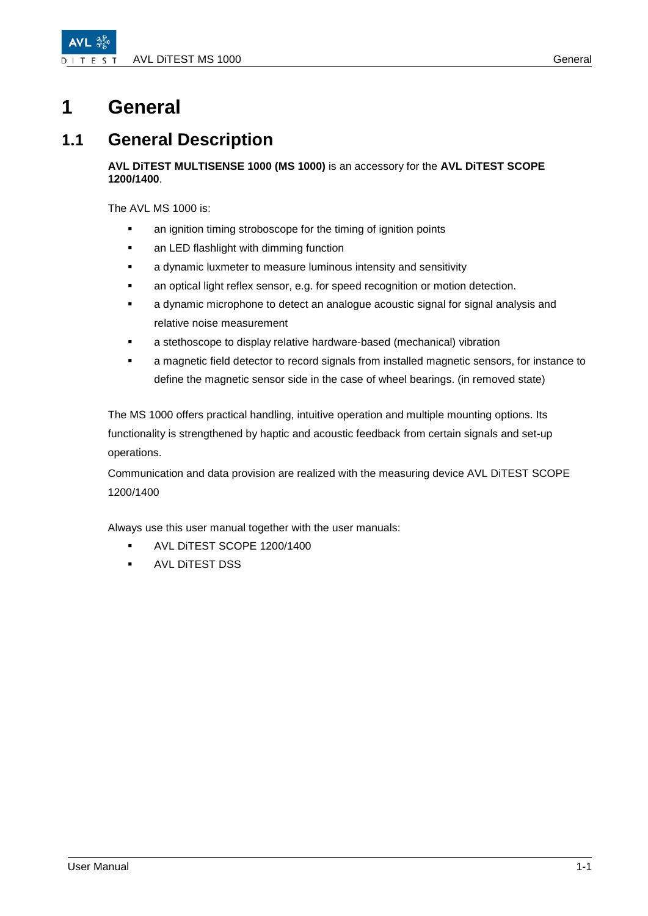# <span id="page-10-0"></span>**1 General**

### <span id="page-10-1"></span>**1.1 General Description**

#### **AVL DiTEST MULTISENSE 1000 (MS 1000)** is an accessory for the **AVL DiTEST SCOPE 1200/1400**.

The AVL MS 1000 is:

- **EXECT** an ignition timing stroboscope for the timing of ignition points
- an LED flashlight with dimming function
- a dynamic luxmeter to measure luminous intensity and sensitivity
- **an optical light reflex sensor, e.g. for speed recognition or motion detection.**
- a dynamic microphone to detect an analogue acoustic signal for signal analysis and relative noise measurement
- a stethoscope to display relative hardware-based (mechanical) vibration
- a magnetic field detector to record signals from installed magnetic sensors, for instance to define the magnetic sensor side in the case of wheel bearings. (in removed state)

The MS 1000 offers practical handling, intuitive operation and multiple mounting options. Its functionality is strengthened by haptic and acoustic feedback from certain signals and set-up operations.

Communication and data provision are realized with the measuring device AVL DiTEST SCOPE 1200/1400

Always use this user manual together with the user manuals:

- **AVL DITEST SCOPE 1200/1400**
- AVL DiTEST DSS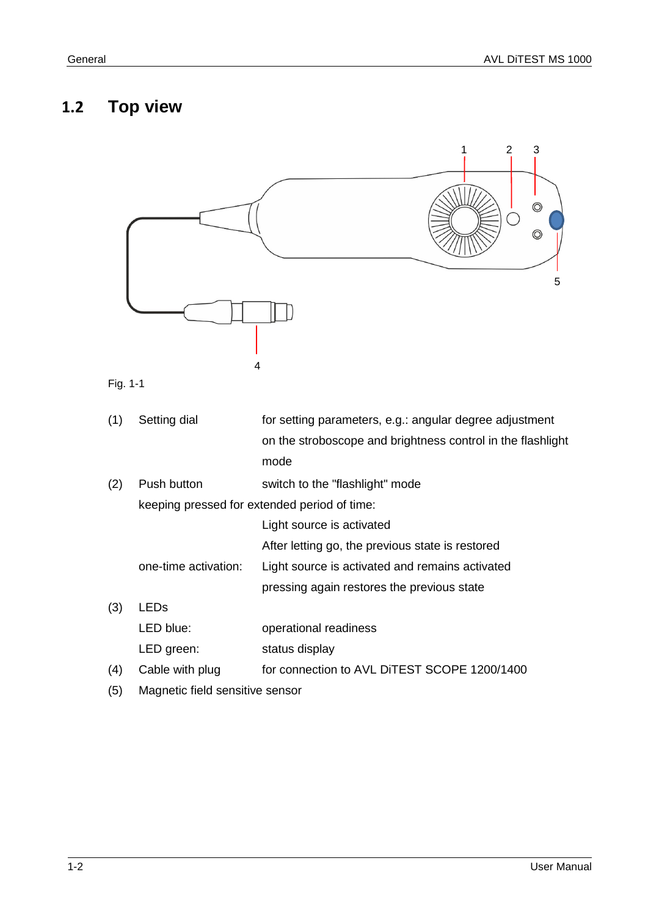### <span id="page-11-0"></span>**1.2 Top view**



keeping pressed for extended period of time:

Light source is activated

After letting go, the previous state is restored

- one-time activation: Light source is activated and remains activated
	- pressing again restores the previous state
- (3) LEDs LED blue: operational readiness LED green: status display (4) Cable with plug for connection to AVL DiTEST SCOPE 1200/1400
- (5) Magnetic field sensitive sensor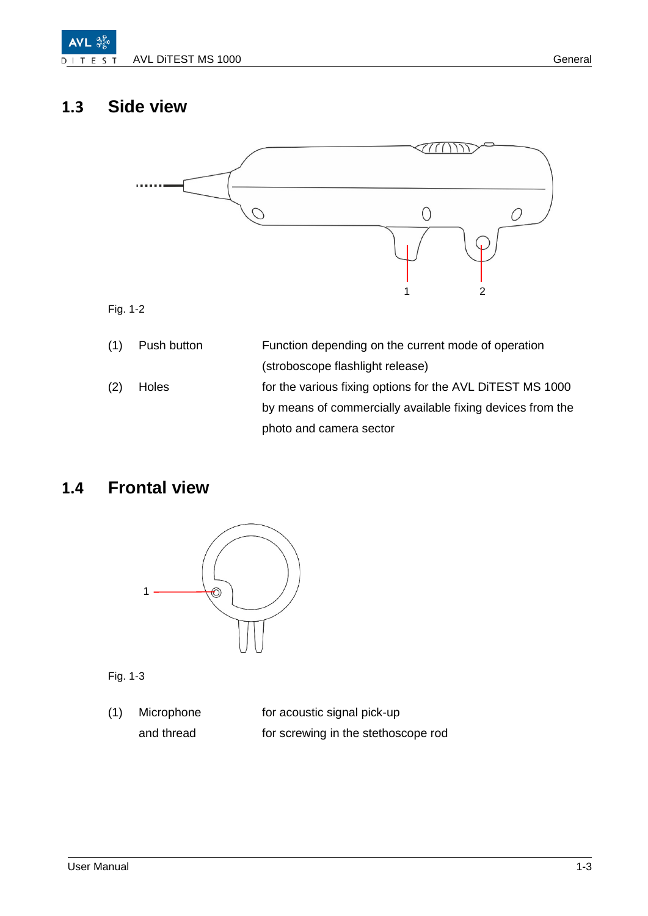

## <span id="page-12-0"></span>**1.3 Side view**



Fig. 1-2

| (1) | Push button | Function depending on the current mode of operation        |
|-----|-------------|------------------------------------------------------------|
|     |             | (stroboscope flashlight release)                           |
| (2) | Holes       | for the various fixing options for the AVL DITEST MS 1000  |
|     |             | by means of commercially available fixing devices from the |
|     |             | photo and camera sector                                    |

### <span id="page-12-1"></span>**1.4 Frontal view**



Fig. 1-3

(1) Microphone for acoustic signal pick-up and thread for screwing in the stethoscope rod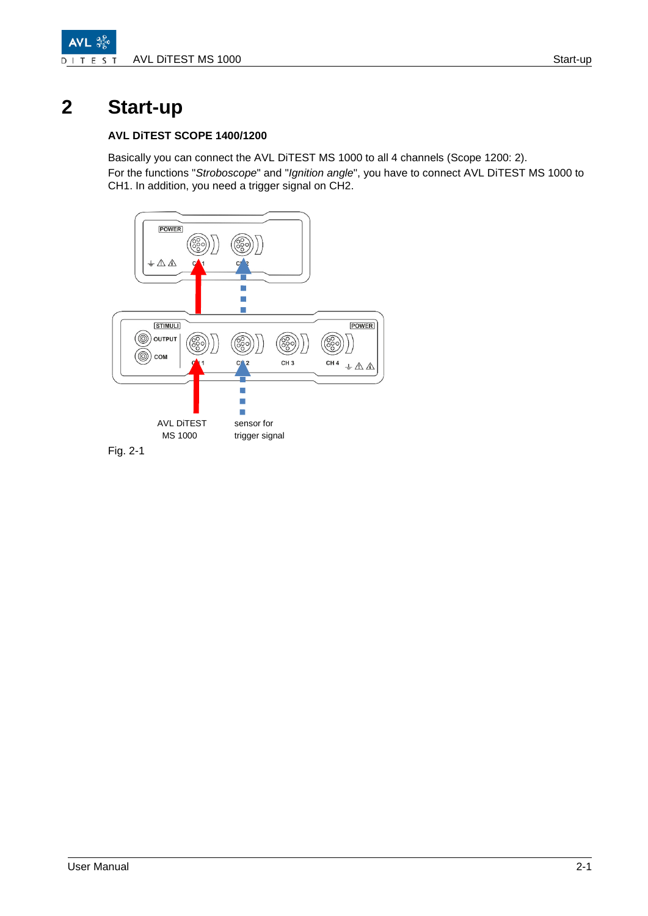

# <span id="page-14-0"></span>**2 Start-up**

#### **AVL DiTEST SCOPE 1400/1200**

Basically you can connect the AVL DiTEST MS 1000 to all 4 channels (Scope 1200: 2). For the functions "*Stroboscope*" and "*Ignition angle*", you have to connect AVL DiTEST MS 1000 to CH1. In addition, you need a trigger signal on CH2.

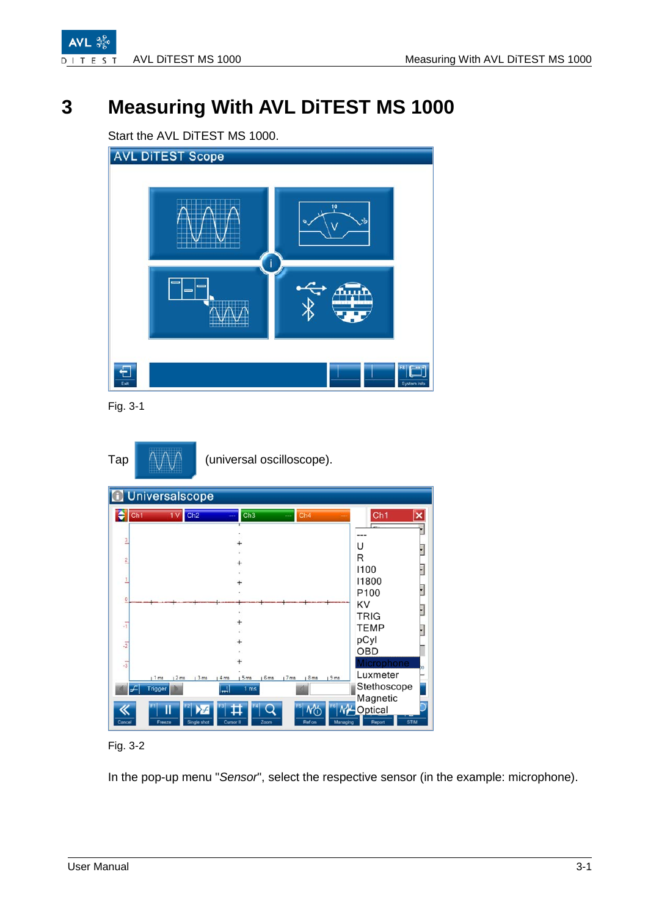

**AVL** 

# <span id="page-16-0"></span>**3 Measuring With AVL DiTEST MS 1000**

Start the AVL DiTEST MS 1000.



Fig. 3-1

| Tap |  | (universal oscilloscope). |
|-----|--|---------------------------|
|-----|--|---------------------------|

|                | <b>Universalscope</b>                                                                                                              |                                                       |
|----------------|------------------------------------------------------------------------------------------------------------------------------------|-------------------------------------------------------|
|                | Ch1<br>Ch2<br>Ch3<br>Ch4<br>١v<br>---                                                                                              | Ch <sub>1</sub><br>×                                  |
| 3              |                                                                                                                                    | U                                                     |
| $\overline{2}$ |                                                                                                                                    | R<br>1100                                             |
|                |                                                                                                                                    | 11800<br>P <sub>100</sub>                             |
| $\theta$       |                                                                                                                                    | KV                                                    |
| $\overline{1}$ |                                                                                                                                    | <b>TRIG</b><br><b>TEMP</b>                            |
| $\overline{z}$ |                                                                                                                                    | pCyl<br><b>OBD</b>                                    |
| $\overline{3}$ | 16ms<br>17 <sub>ms</sub><br>19ms<br>$1$ ms<br>2 <sub>ms</sub><br>$13$ ms<br>4 <sub>ms</sub><br>5 <sub>ms</sub><br>18 <sub>ms</sub> | Microphone<br>Luxmeter                                |
|                | $\left  - \right $<br>Trigger<br>니<br>1 <sub>ms</sub>                                                                              | Stethoscope<br>Magnetic                               |
| Cancel         | Π<br><b>MO</b><br>⊁⊬<br>Single shot<br>Zoom<br>Ref on<br>Freeze<br><b>Cursor II</b><br>Managing                                    | <b>M<sup>L</sup></b> Optical<br>Report<br><b>STIM</b> |

Fig. 3-2

In the pop-up menu "*Sensor*", select the respective sensor (in the example: microphone).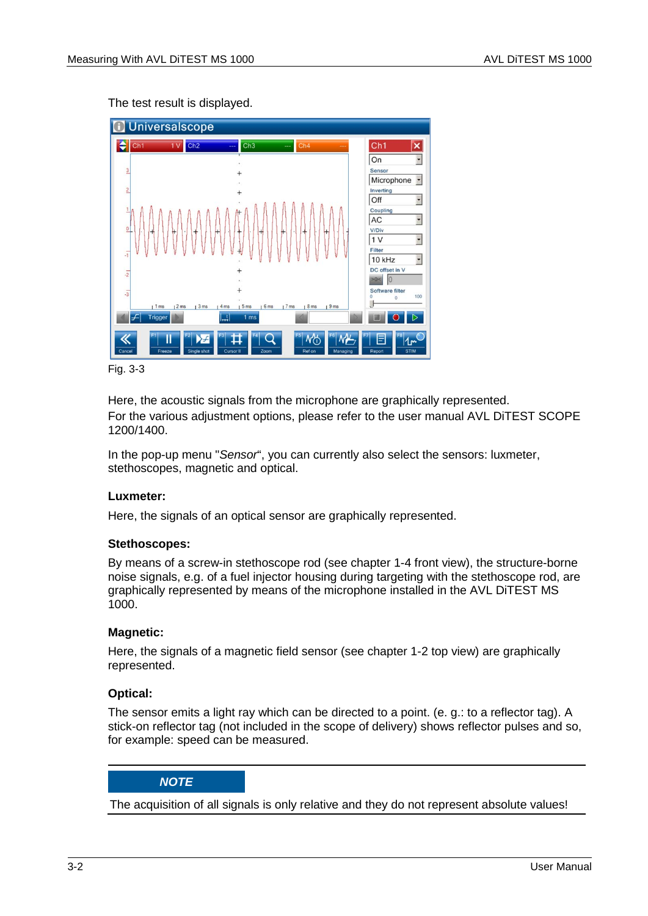The test result is displayed.



Fig. 3-3

Here, the acoustic signals from the microphone are graphically represented. For the various adjustment options, please refer to the user manual AVL DiTEST SCOPE 1200/1400.

In the pop-up menu "*Sensor*", you can currently also select the sensors: luxmeter, stethoscopes, magnetic and optical.

### **Luxmeter:**

Here, the signals of an optical sensor are graphically represented.

#### **Stethoscopes:**

By means of a screw-in stethoscope rod (see chapter 1-4 front view), the structure-borne noise signals, e.g. of a fuel injector housing during targeting with the stethoscope rod, are graphically represented by means of the microphone installed in the AVL DiTEST MS 1000.

#### **Magnetic:**

Here, the signals of a magnetic field sensor (see chapter 1-2 top view) are graphically represented.

### **Optical:**

The sensor emits a light ray which can be directed to a point. (e. g.: to a reflector tag). A stick-on reflector tag (not included in the scope of delivery) shows reflector pulses and so, for example: speed can be measured.

### *NOTE*

The acquisition of all signals is only relative and they do not represent absolute values!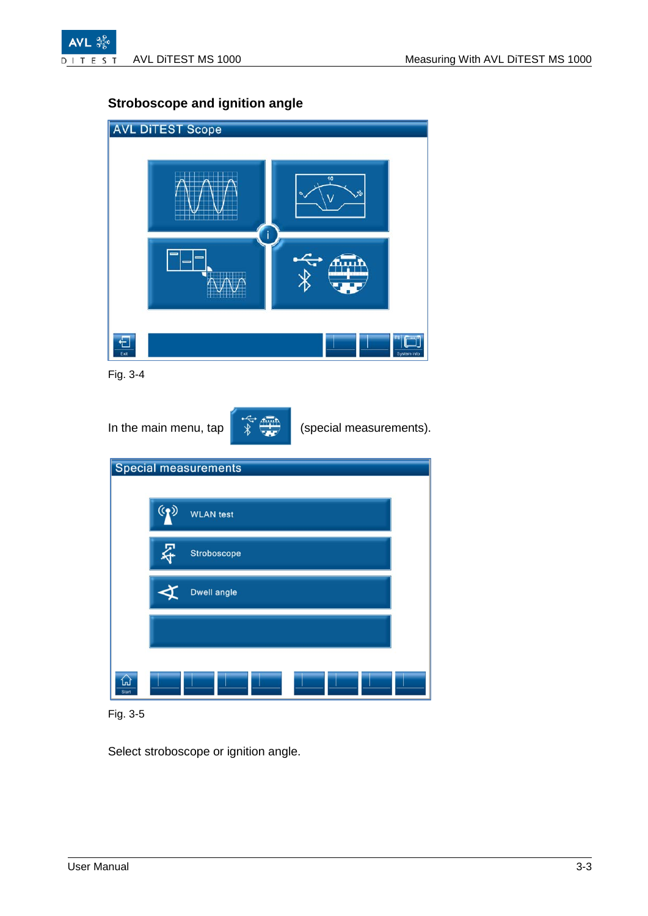

### **Stroboscope and ignition angle**



Fig. 3-4

In the main menu, tap  $\sqrt{\frac{1}{2} + \frac{1}{2}}$  (special measurements). Special measurements ((و) **WLAN** test ⋩ Stroboscope Dwell angle

 $\frac{1}{\sqrt{2}}$ 

Fig. 3-5

Select stroboscope or ignition angle.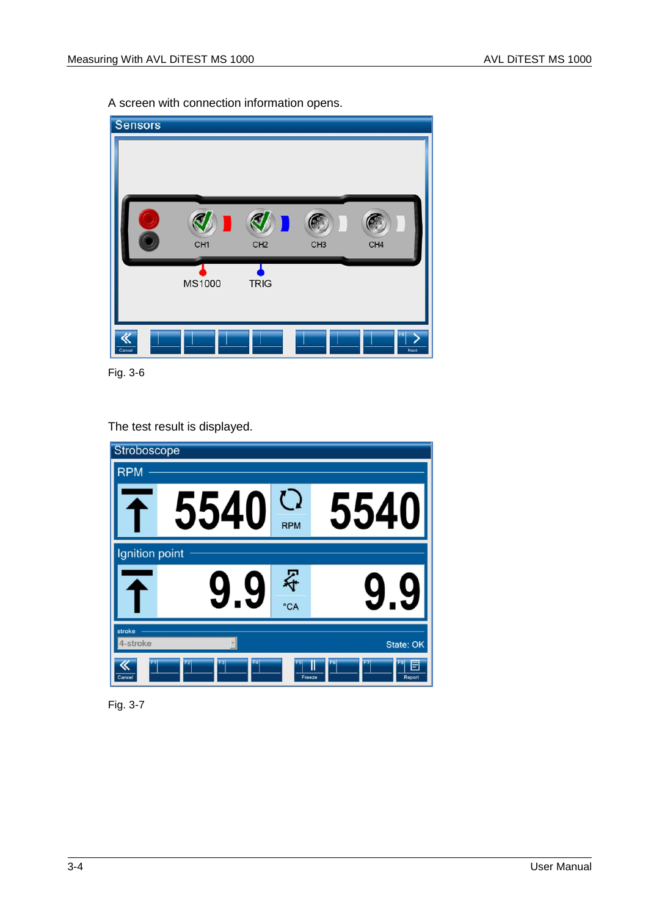A screen with connection information opens.



Fig. 3-6

The test result is displayed.

| Stroboscope        |                      |            |                                    |
|--------------------|----------------------|------------|------------------------------------|
| <b>RPM</b>         |                      |            |                                    |
|                    | 5540                 | <b>RPM</b> | 554                                |
| Ignition point     |                      |            |                                    |
|                    |                      | そ<br>°CA   |                                    |
| stroke<br>4-stroke |                      |            | State: OK                          |
| Cancel             | F <sub>2</sub><br>F3 | Freeze     | F <sub>6</sub><br>Ш<br>Ε<br>Report |

Fig. 3-7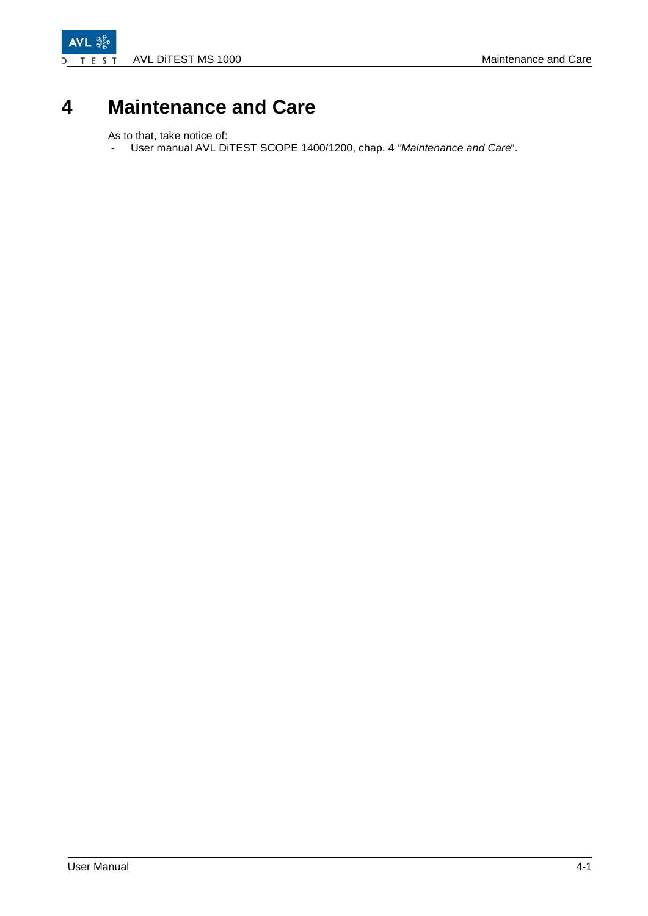AVL  $\frac{3}{9}$ AVL DITEST MS 1000 Maintenance and Care DITES  $\mathsf{T}$ 

# <span id="page-20-0"></span>**4 Maintenance and Care**

As to that, take notice of:

- User manual AVL DiTEST SCOPE 1400/1200, chap. 4 *"Maintenance and Care*".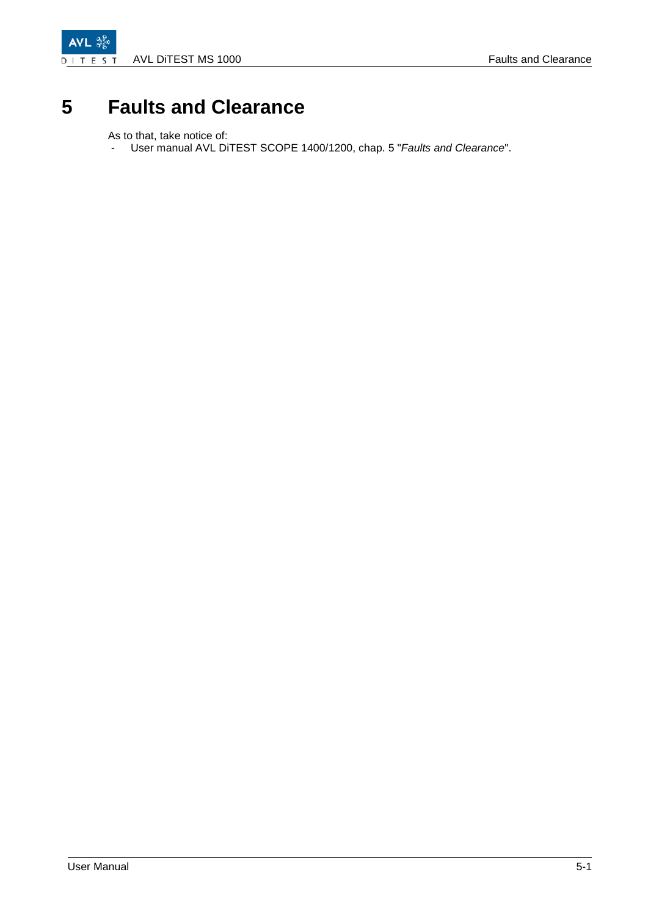

# <span id="page-22-0"></span>**5 Faults and Clearance**

As to that, take notice of:

- User manual AVL DiTEST SCOPE 1400/1200, chap. 5 "*Faults and Clearance*".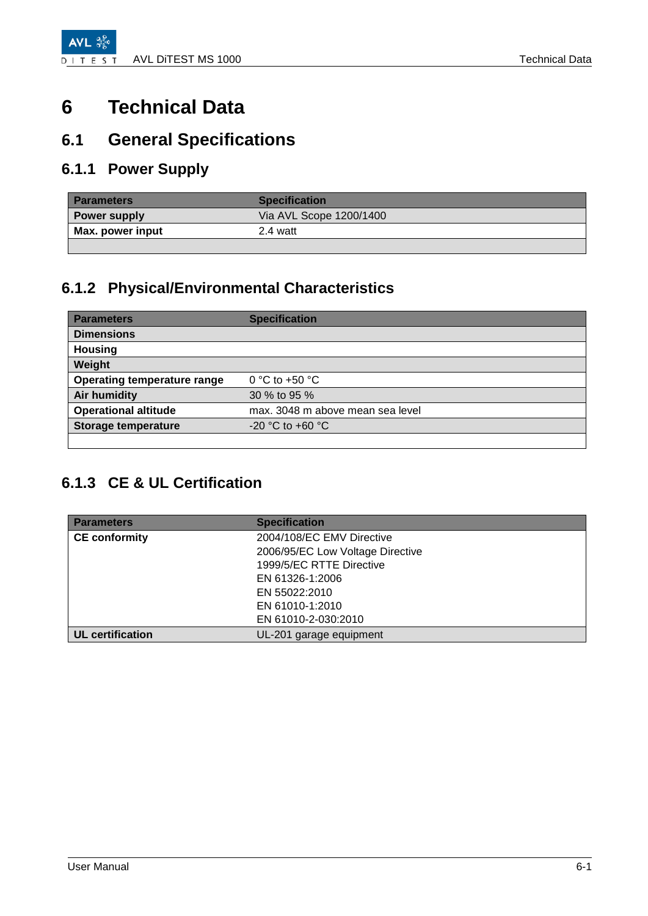# <span id="page-24-0"></span>**6 Technical Data**

### <span id="page-24-1"></span>**6.1 General Specifications**

### <span id="page-24-2"></span>**6.1.1 Power Supply**

| <b>Parameters</b>   | <b>Specification</b>    |
|---------------------|-------------------------|
| <b>Power supply</b> | Via AVL Scope 1200/1400 |
| Max. power input    | 2.4 watt                |
|                     |                         |

### <span id="page-24-3"></span>**6.1.2 Physical/Environmental Characteristics**

| <b>Parameters</b>                  | <b>Specification</b>             |
|------------------------------------|----------------------------------|
| <b>Dimensions</b>                  |                                  |
| <b>Housing</b>                     |                                  |
| Weight                             |                                  |
| <b>Operating temperature range</b> | 0 °C to +50 $\degree$ C          |
| Air humidity                       | 30 % to 95 %                     |
| <b>Operational altitude</b>        | max. 3048 m above mean sea level |
| <b>Storage temperature</b>         | $-20$ °C to $+60$ °C             |
|                                    |                                  |

### <span id="page-24-4"></span>**6.1.3 CE & UL Certification**

| <b>Parameters</b>       | <b>Specification</b>             |
|-------------------------|----------------------------------|
| <b>CE conformity</b>    | 2004/108/EC EMV Directive        |
|                         | 2006/95/EC Low Voltage Directive |
|                         | 1999/5/EC RTTE Directive         |
|                         | EN 61326-1:2006                  |
|                         | EN 55022:2010                    |
|                         | EN 61010-1:2010                  |
|                         | EN 61010-2-030:2010              |
| <b>UL</b> certification | UL-201 garage equipment          |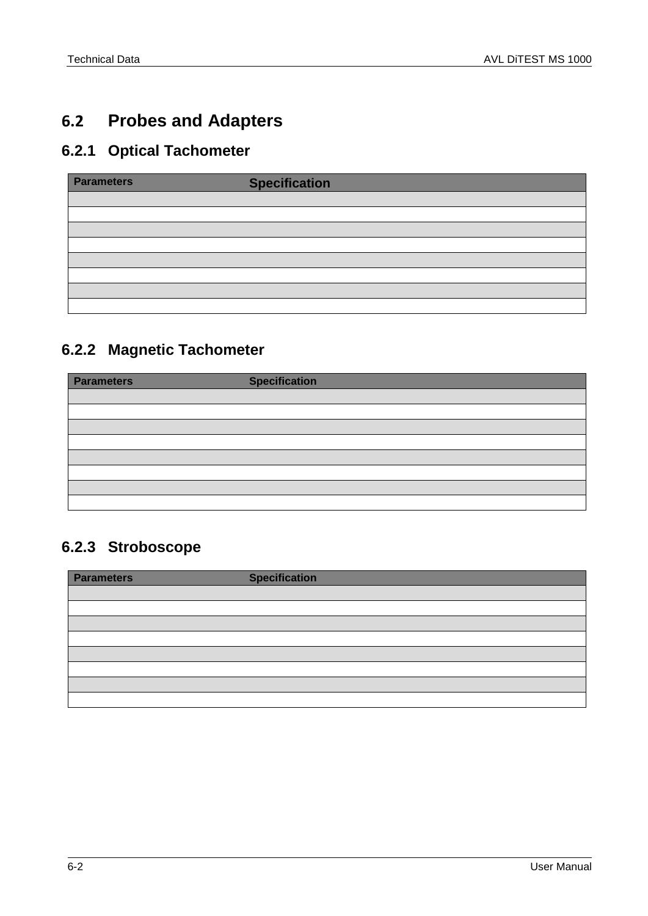### <span id="page-25-0"></span>**6.2 Probes and Adapters**

### <span id="page-25-1"></span>**6.2.1 Optical Tachometer**

| <b>Parameters</b> | <b>Specification</b> |
|-------------------|----------------------|
|                   |                      |
|                   |                      |
|                   |                      |
|                   |                      |
|                   |                      |
|                   |                      |
|                   |                      |
|                   |                      |

### <span id="page-25-2"></span>**6.2.2 Magnetic Tachometer**

| <b>Parameters</b> | <b>Specification</b> |
|-------------------|----------------------|
|                   |                      |
|                   |                      |
|                   |                      |
|                   |                      |
|                   |                      |
|                   |                      |
|                   |                      |
|                   |                      |

### <span id="page-25-3"></span>**6.2.3 Stroboscope**

| <b>Parameters</b> | <b>Specification</b> |
|-------------------|----------------------|
|                   |                      |
|                   |                      |
|                   |                      |
|                   |                      |
|                   |                      |
|                   |                      |
|                   |                      |
|                   |                      |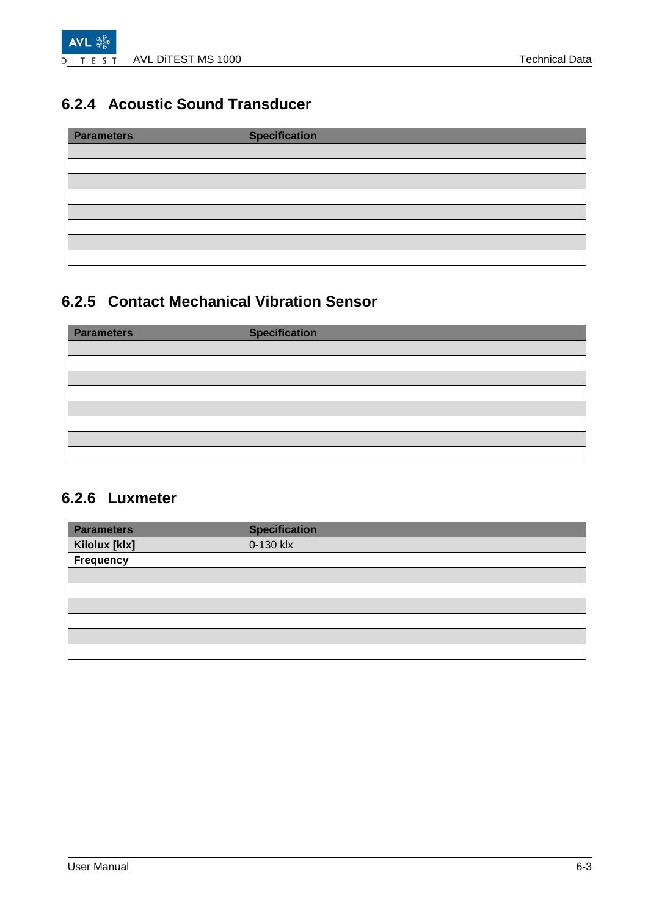

### <span id="page-26-0"></span>**6.2.4 Acoustic Sound Transducer**

| <b>Parameters</b> | <b>Specification</b> |  |
|-------------------|----------------------|--|
|                   |                      |  |
|                   |                      |  |
|                   |                      |  |
|                   |                      |  |
|                   |                      |  |
|                   |                      |  |
|                   |                      |  |
|                   |                      |  |

### <span id="page-26-1"></span>**6.2.5 Contact Mechanical Vibration Sensor**

| <b>Parameters</b> | <b>Specification</b> |
|-------------------|----------------------|
|                   |                      |
|                   |                      |
|                   |                      |
|                   |                      |
|                   |                      |
|                   |                      |
|                   |                      |
|                   |                      |

### <span id="page-26-2"></span>**6.2.6 Luxmeter**

| <b>Parameters</b> | <b>Specification</b> |
|-------------------|----------------------|
| Kilolux [klx]     | 0-130 klx            |
| Frequency         |                      |
|                   |                      |
|                   |                      |
|                   |                      |
|                   |                      |
|                   |                      |
|                   |                      |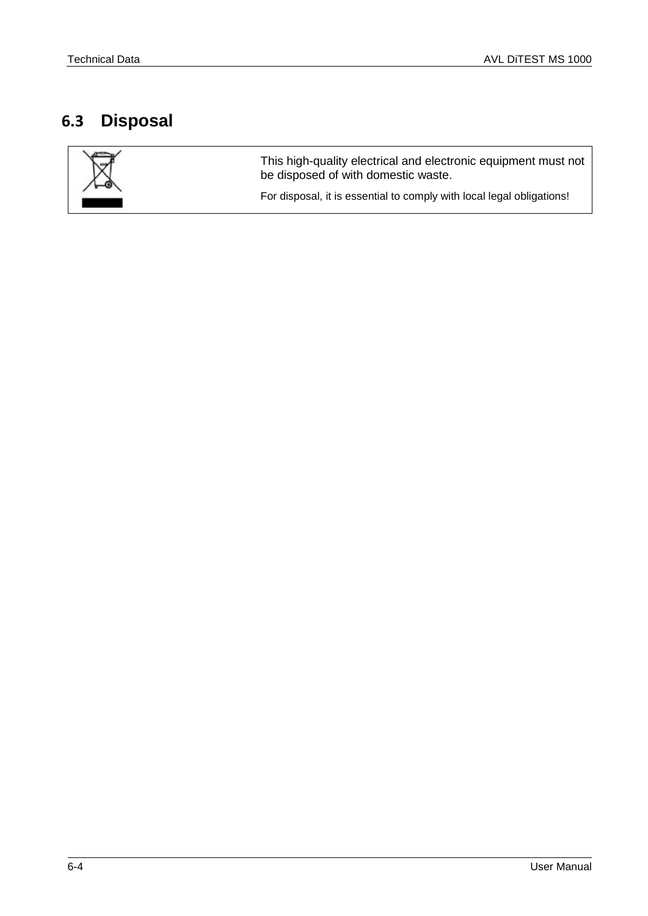### <span id="page-27-0"></span>**6.3 Disposal**



This high-quality electrical and electronic equipment must not be disposed of with domestic waste.

For disposal, it is essential to comply with local legal obligations!